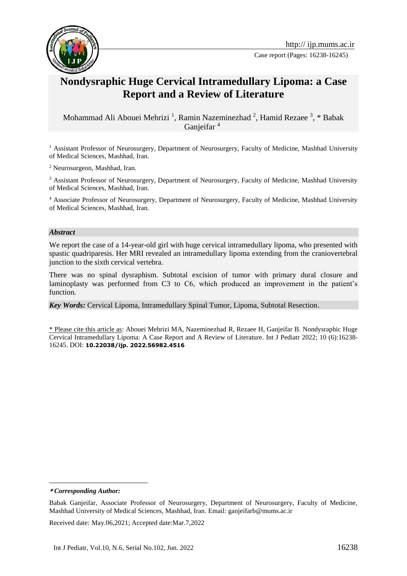

Case report (Pages: 16238-16245)

# **Nondysraphic Huge Cervical Intramedullary Lipoma: a Case Report and a Review of Literature**

Mohammad Ali Abouei Mehrizi<sup>1</sup>, Ramin Nazeminezhad<sup>2</sup>, Hamid Rezaee<sup>3</sup>, \* Babak Ganjeifar<sup>4</sup>

<sup>1</sup> Assistant Professor of Neurosurgery, Department of Neurosurgery, Faculty of Medicine, Mashhad University of Medical Sciences, Mashhad, Iran.

<sup>2</sup> Neurosurgeon, Mashhad, Iran.

<sup>3</sup> Assistant Professor of Neurosurgery, Department of Neurosurgery, Faculty of Medicine, Mashhad University of Medical Sciences, Mashhad, Iran.

<sup>4</sup> Associate Professor of Neurosurgery, Department of Neurosurgery, Faculty of Medicine, Mashhad University of Medical Sciences, Mashhad, Iran.

#### *Abstract*

We report the case of a 14-year-old girl with huge cervical intramedullary lipoma, who presented with spastic quadriparesis. Her MRI revealed an intramedullary lipoma extending from the craniovertebral junction to the sixth cervical vertebra.

There was no spinal dysraphism. Subtotal excision of tumor with primary dural closure and laminoplasty was performed from C3 to C6, which produced an improvement in the patient's function.

*Key Words:* Cervical Lipoma, Intramedullary Spinal Tumor, Lipoma, Subtotal Resection.

\* Please cite this article as: Abouei Mehrizi MA, Nazeminezhad R, Rezaee H, Ganjeifar B. Nondysraphic Huge Cervical Intramedullary Lipoma: A Case Report and A Review of Literature. Int J Pediatr 2022; 10 (6):16238- 16245. DOI: **10.22038/ijp. 2022.56982.4516**

**\*** *Corresponding Author:*

1

Received date: May.06,2021; Accepted date:Mar.7,2022

Babak Ganjeifar, Associate Professor of Neurosurgery, Department of Neurosurgery, Faculty of Medicine, Mashhad University of Medical Sciences, Mashhad, Iran. Email: ganjeifarb@mums.ac.ir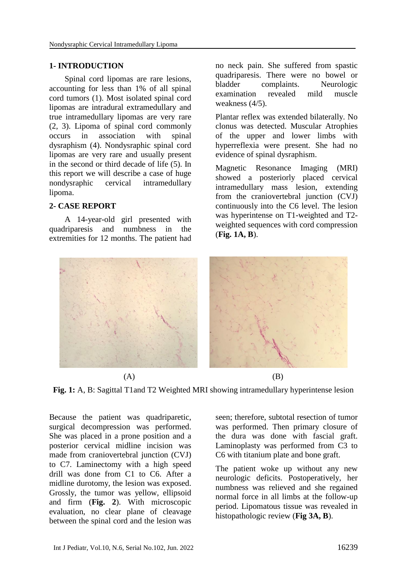### **1- INTRODUCTION**

Spinal cord lipomas are rare lesions, accounting for less than 1% of all spinal cord tumors (1). Most isolated spinal cord lipomas are intradural extramedullary and true intramedullary lipomas are very rare (2, 3). Lipoma of spinal cord commonly occurs in association with spinal dysraphism (4). Nondysraphic spinal cord lipomas are very rare and usually present in the second or third decade of life (5). In this report we will describe a case of huge nondysraphic cervical intramedullary lipoma.

#### **2- CASE REPORT**

A 14-year-old girl presented with quadriparesis and numbness in the extremities for 12 months. The patient had no neck pain. She suffered from spastic quadriparesis. There were no bowel or bladder complaints. Neurologic examination revealed mild muscle weakness (4/5).

Plantar reflex was extended bilaterally. No clonus was detected. Muscular Atrophies of the upper and lower limbs with hyperreflexia were present. She had no evidence of spinal dysraphism.

Magnetic Resonance Imaging (MRI) showed a posteriorly placed cervical intramedullary mass lesion, extending from the craniovertebral junction (CVJ) continuously into the C6 level. The lesion was hyperintense on T1-weighted and T2 weighted sequences with cord compression (**Fig. 1A, B**).



**Fig. 1:** A, B: Sagittal T1and T2 Weighted MRI showing intramedullary hyperintense lesion

Because the patient was quadriparetic, surgical decompression was performed. She was placed in a prone position and a posterior cervical midline incision was made from craniovertebral junction (CVJ) to C7. Laminectomy with a high speed drill was done from C1 to C6. After a midline durotomy, the lesion was exposed. Grossly, the tumor was yellow, ellipsoid and firm (**Fig. 2**). With microscopic evaluation, no clear plane of cleavage between the spinal cord and the lesion was

seen; therefore, subtotal resection of tumor was performed. Then primary closure of the dura was done with fascial graft. Laminoplasty was performed from C3 to C6 with titanium plate and bone graft.

The patient woke up without any new neurologic deficits. Postoperatively, her numbness was relieved and she regained normal force in all limbs at the follow-up period. Lipomatous tissue was revealed in histopathologic review (**Fig 3A, B**).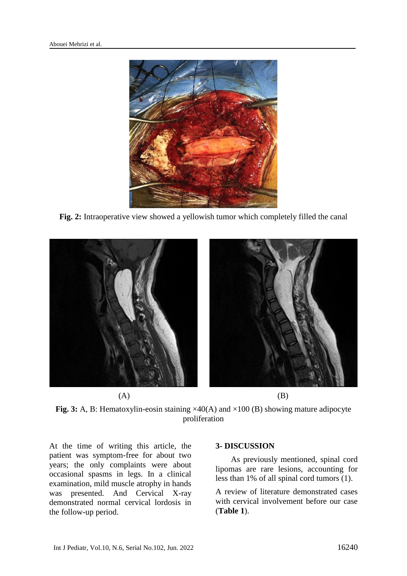

**Fig. 2:** Intraoperative view showed a yellowish tumor which completely filled the canal



**Fig. 3:** A, B: Hematoxylin-eosin staining ×40(A) and ×100 (B) showing mature adipocyte proliferation

At the time of writing this article, the patient was symptom-free for about two years; the only complaints were about occasional spasms in legs. In a clinical examination, mild muscle atrophy in hands was presented. And Cervical X-ray demonstrated normal cervical lordosis in the follow-up period.

#### **3- DISCUSSION**

As previously mentioned, spinal cord lipomas are rare lesions, accounting for less than 1% of all spinal cord tumors (1).

A review of literature demonstrated cases with cervical involvement before our case (**Table 1**).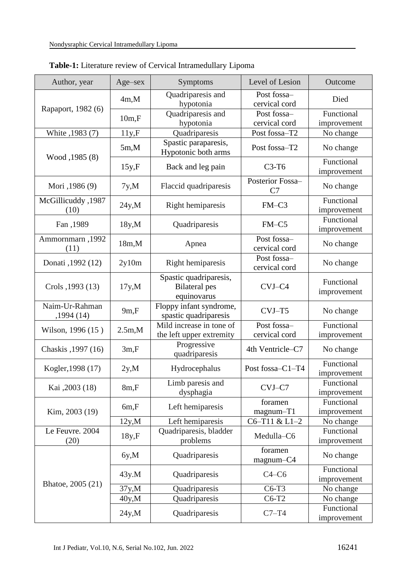| Author, year                | Age-sex     | <b>Symptoms</b>                                               | Level of Lesion              | Outcome                   |
|-----------------------------|-------------|---------------------------------------------------------------|------------------------------|---------------------------|
| Rapaport, 1982 (6)          | 4m,M        | Quadriparesis and                                             | Post fossa-<br>cervical cord | Died                      |
|                             |             | hypotonia                                                     |                              |                           |
|                             |             | Quadriparesis and                                             | Post fossa-                  | Functional                |
|                             | $10m$ , $F$ | hypotonia                                                     | cervical cord                | improvement               |
| White , 1983 (7)            | 11y.F       | Quadriparesis                                                 | Post fossa-T2                | No change                 |
| Wood , 1985 (8)             | 5m,M        | Spastic paraparesis,<br>Hypotonic both arms                   | Post fossa-T2                | No change                 |
|                             | $15y$ , $F$ | Back and leg pain                                             | $C3-T6$                      | Functional<br>improvement |
| Mori ,1986 (9)              | 7y, M       | Flaccid quadriparesis                                         | Posterior Fossa-<br>C7       | No change                 |
| McGillicuddy, 1987<br>(10)  | 24y.M       | Right hemiparesis                                             | $FM-C3$                      | Functional<br>improvement |
| Fan, 1989                   | 18y, M      | Quadriparesis                                                 | $FM-C5$                      | Functional<br>improvement |
| Ammornmarn, 1992<br>(11)    | 18m.M       | Apnea                                                         | Post fossa-<br>cervical cord | No change                 |
| Donati , 1992 (12)          | 2y10m       | Right hemiparesis                                             | Post fossa-<br>cervical cord | No change                 |
| Crols , 1993 (13)           | 17y, M      | Spastic quadriparesis,<br><b>Bilateral</b> pes<br>equinovarus | CVJ-C4                       | Functional<br>improvement |
| Naim-Ur-Rahman<br>,1994(14) | 9m,F        | Floppy infant syndrome,<br>spastic quadriparesis              | $CVJ-T5$                     | No change                 |
| Wilson, 1996 (15)           | 2.5m,M      | Mild increase in tone of<br>the left upper extremity          | Post fossa-<br>cervical cord | Functional<br>improvement |
| Chaskis , 1997 (16)         | 3m,F        | Progressive<br>quadriparesis                                  | 4th Ventricle-C7             | No change                 |
| Kogler, 1998 (17)           | 2y.M        | Hydrocephalus                                                 | Post fossa-C1-T4             | Functional<br>improvement |
| Kai ,2003 (18)              | 8m,F        | Limb paresis and<br>dysphagia                                 | CVJ-C7                       | Functional<br>improvement |
| Kim, 2003 (19)              | 6m, F       | Left hemiparesis                                              | foramen<br>$magnum-T1$       | Functional<br>improvement |
|                             | 12y.M       | Left hemiparesis                                              | C6-T11 & L1-2                | No change                 |
| Le Feuvre. 2004<br>(20)     | 18y.F       | Quadriparesis, bladder<br>problems                            | Medulla-C6                   | Functional<br>improvement |
| Bhatoe, 2005 (21)           | 6y, M       | Quadriparesis                                                 | foramen<br>magnum-C4         | No change                 |
|                             | 43y.M       | Quadriparesis                                                 | $C4-C6$                      | Functional<br>improvement |
|                             | 37y, M      | Quadriparesis                                                 | $C6-T3$                      | No change                 |
|                             | 40y,M       | Quadriparesis                                                 | $C6-T2$                      | No change                 |
|                             | 24y.M       | Quadriparesis                                                 | $C7-T4$                      | Functional<br>improvement |

**Table-1:** Literature review of Cervical Intramedullary Lipoma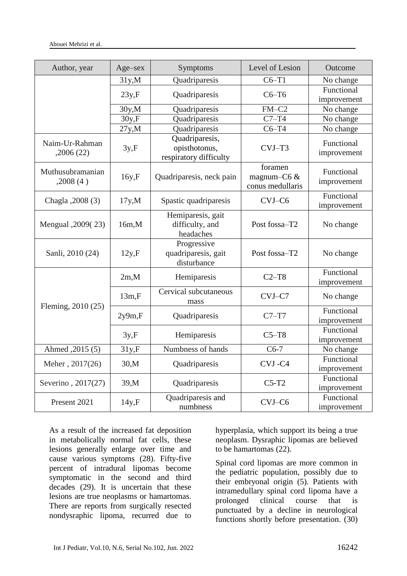| Author, year                 | Age-sex | Symptoms                                                  | Level of Lesion                               | Outcome                   |
|------------------------------|---------|-----------------------------------------------------------|-----------------------------------------------|---------------------------|
|                              | 31y.M   | Quadriparesis                                             | $C6-T1$                                       | No change                 |
|                              | 23y.F   | Quadriparesis                                             | $C6-T6$                                       | Functional<br>improvement |
|                              | 30y.M   | Quadriparesis                                             | $FM-C2$                                       | No change                 |
|                              | 30y.F   | Quadriparesis                                             | $C7-T4$                                       | No change                 |
|                              | 27y,M   | Quadriparesis                                             | $C6-T4$                                       | No change                 |
| Naim-Ur-Rahman<br>,2006(22)  | 3y.F    | Quadriparesis,<br>opisthotonus,<br>respiratory difficulty | CVJ-T3                                        | Functional<br>improvement |
| Muthusubramanian<br>,2008(4) | 16y, F  | Quadriparesis, neck pain                                  | foramen<br>magnum- $C6 &$<br>conus medullaris | Functional<br>improvement |
| Chagla , 2008 (3)            | 17y, M  | Spastic quadriparesis                                     | CVJ-C6                                        | Functional<br>improvement |
| Mengual , 2009(23)           | 16m.M   | Hemiparesis, gait<br>difficulty, and<br>headaches         | Post fossa-T2                                 | No change                 |
| Sanli, 2010 (24)             | 12y.F   | Progressive<br>quadriparesis, gait<br>disturbance         | Post fossa-T2                                 | No change                 |
| Fleming, 2010 (25)           | 2m.M    | Hemiparesis                                               | $C2-T8$                                       | Functional<br>improvement |
|                              | 13m,F   | Cervical subcutaneous<br>mass                             | CVJ-C7                                        | No change                 |
|                              | 2y9m,F  | Quadriparesis                                             | $C7-T7$                                       | Functional<br>improvement |
|                              | 3y.F    | Hemiparesis                                               | $C5-T8$                                       | Functional<br>improvement |
| Ahmed, 2015 (5)              | 31y.F   | Numbness of hands                                         | $C6-7$                                        | No change                 |
| Meher, 2017(26)              | 30,M    | Quadriparesis                                             | CVJ-C4                                        | Functional<br>improvement |
| Severino, 2017(27)           | 39,M    | Quadriparesis                                             | $C5-T2$                                       | Functional<br>improvement |
| Present 2021                 | 14y,F   | Quadriparesis and<br>numbness                             | CVJ-C6                                        | Functional<br>improvement |

As a result of the increased fat deposition in metabolically normal fat cells, these lesions generally enlarge over time and cause various symptoms (28). Fifty-five percent of intradural lipomas become symptomatic in the second and third decades (29). It is uncertain that these lesions are true neoplasms or hamartomas. There are reports from surgically resected nondysraphic lipoma, recurred due to hyperplasia, which support its being a true neoplasm. Dysraphic lipomas are believed to be hamartomas (22).

Spinal cord lipomas are more common in the pediatric population, possibly due to their embryonal origin (5). Patients with intramedullary spinal cord lipoma have a prolonged clinical course that is punctuated by a decline in neurological functions shortly before presentation. (30)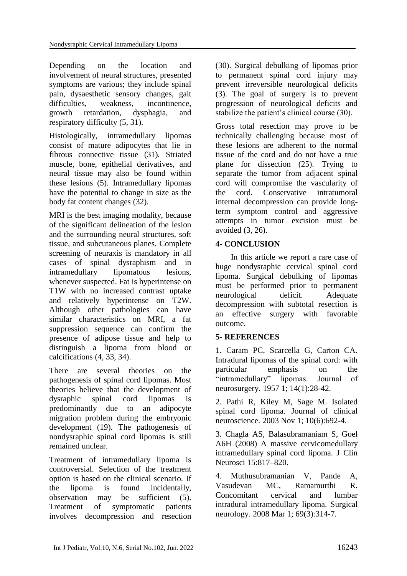Depending on the location and involvement of neural structures, presented symptoms are various; they include spinal pain, dysaesthetic sensory changes, gait difficulties, weakness, incontinence, growth retardation, dysphagia, and respiratory difficulty (5, 31).

Histologically, intramedullary lipomas consist of mature adipocytes that lie in fibrous connective tissue (31). Striated muscle, bone, epithelial derivatives, and neural tissue may also be found within these lesions (5). Intramedullary lipomas have the potential to change in size as the body fat content changes (32).

MRI is the best imaging modality, because of the significant delineation of the lesion and the surrounding neural structures, soft tissue, and subcutaneous planes. Complete screening of neuraxis is mandatory in all cases of spinal dysraphism and in intramedullary lipomatous lesions, whenever suspected. Fat is hyperintense on T1W with no increased contrast uptake and relatively hyperintense on T2W. Although other pathologies can have similar characteristics on MRI, a fat suppression sequence can confirm the presence of adipose tissue and help to distinguish a lipoma from blood or calcifications (4, 33, 34).

There are several theories on the pathogenesis of spinal cord lipomas. Most theories believe that the development of dysraphic spinal cord lipomas is predominantly due to an adipocyte migration problem during the embryonic development (19). The pathogenesis of nondysraphic spinal cord lipomas is still remained unclear.

Treatment of intramedullary lipoma is controversial. Selection of the treatment option is based on the clinical scenario. If the lipoma is found incidentally, observation may be sufficient (5). Treatment of symptomatic patients involves decompression and resection

(30). Surgical debulking of lipomas prior to permanent spinal cord injury may prevent irreversible neurological deficits (3). The goal of surgery is to prevent progression of neurological deficits and stabilize the patient's clinical course (30).

Gross total resection may prove to be technically challenging because most of these lesions are adherent to the normal tissue of the cord and do not have a true plane for dissection (25). Trying to separate the tumor from adjacent spinal cord will compromise the vascularity of the cord. Conservative intratumoral internal decompression can provide longterm symptom control and aggressive attempts in tumor excision must be avoided (3, 26).

## **4- CONCLUSION**

In this article we report a rare case of huge nondysraphic cervical spinal cord lipoma. Surgical debulking of lipomas must be performed prior to permanent neurological deficit. Adequate decompression with subtotal resection is an effective surgery with favorable outcome.

## **5- REFERENCES**

1. Caram PC, Scarcella G, Carton CA. Intradural lipomas of the spinal cord: with particular emphasis on the "intramedullary" lipomas. Journal of neurosurgery. 1957 1; 14(1):28-42.

2. Pathi R, Kiley M, Sage M. Isolated spinal cord lipoma. Journal of clinical neuroscience. 2003 Nov 1; 10(6):692-4.

3. Chagla AS, Balasubramaniam S, Goel A6H (2008) A massive cervicomedullary intramedullary spinal cord lipoma. J Clin Neurosci 15:817–820.

4. Muthusubramanian V, Pande A, Vasudevan MC, Ramamurthi R. Concomitant cervical and lumbar intradural intramedullary lipoma. Surgical neurology. 2008 Mar 1; 69(3):314-7.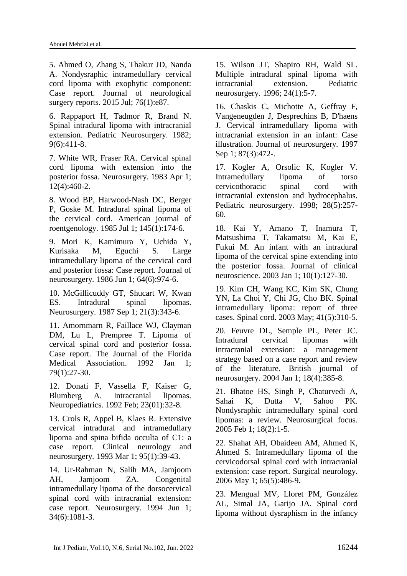5. Ahmed O, Zhang S, Thakur JD, Nanda A. Nondysraphic intramedullary cervical cord lipoma with exophytic component: Case report. Journal of neurological surgery reports. 2015 Jul; 76(1):e87.

6. Rappaport H, Tadmor R, Brand N. Spinal intradural lipoma with intracranial extension. Pediatric Neurosurgery. 1982; 9(6):411-8.

7. White WR, Fraser RA. Cervical spinal cord lipoma with extension into the posterior fossa. Neurosurgery. 1983 Apr 1; 12(4):460-2.

8. Wood BP, Harwood-Nash DC, Berger P, Goske M. Intradural spinal lipoma of the cervical cord. American journal of roentgenology. 1985 Jul 1; 145(1):174-6.

9. Mori K, Kamimura Y, Uchida Y, Kurisaka M, Eguchi S. Large intramedullary lipoma of the cervical cord and posterior fossa: Case report. Journal of neurosurgery. 1986 Jun 1; 64(6):974-6.

10. McGillicuddy GT, Shucart W, Kwan ES. Intradural spinal lipomas. Neurosurgery. 1987 Sep 1; 21(3):343-6.

11. Amornmarn R, Faillace WJ, Clayman DM, Lu L, Prempree T. Lipoma of cervical spinal cord and posterior fossa. Case report. The Journal of the Florida Medical Association. 1992 Jan 1; 79(1):27-30.

12. Donati F, Vassella F, Kaiser G, Blumberg A. Intracranial lipomas. Neuropediatrics. 1992 Feb; 23(01):32-8.

13. Crols R, Appel B, Klaes R. Extensive cervical intradural and intramedullary lipoma and spina bifida occulta of C1: a case report. Clinical neurology and neurosurgery. 1993 Mar 1; 95(1):39-43.

14. Ur-Rahman N, Salih MA, Jamjoom AH, Jamjoom ZA. Congenital intramedullary lipoma of the dorsocervical spinal cord with intracranial extension: case report. Neurosurgery. 1994 Jun 1; 34(6):1081-3.

15. Wilson JT, Shapiro RH, Wald SL. Multiple intradural spinal lipoma with intracranial extension. Pediatric neurosurgery. 1996; 24(1):5-7.

16. Chaskis C, Michotte A, Geffray F, Vangeneugden J, Desprechins B, D'haens J. Cervical intramedullary lipoma with intracranial extension in an infant: Case illustration. Journal of neurosurgery. 1997 Sep 1; 87(3):472-.

17. Kogler A, Orsolic K, Kogler V. Intramedullary lipoma of torso cervicothoracic spinal cord with intracranial extension and hydrocephalus. Pediatric neurosurgery. 1998; 28(5):257- 60.

18. Kai Y, Amano T, Inamura T, Matsushima T, Takamatsu M, Kai E, Fukui M. An infant with an intradural lipoma of the cervical spine extending into the posterior fossa. Journal of clinical neuroscience. 2003 Jan 1; 10(1):127-30.

19. Kim CH, Wang KC, Kim SK, Chung YN, La Choi Y, Chi JG, Cho BK. Spinal intramedullary lipoma: report of three cases. Spinal cord. 2003 May; 41(5):310-5.

20. Feuvre DL, Semple PL, Peter JC. Intradural cervical lipomas with intracranial extension: a management strategy based on a case report and review of the literature. British journal of neurosurgery. 2004 Jan 1; 18(4):385-8.

21. Bhatoe HS, Singh P, Chaturvedi A, Sahai K, Dutta V, Sahoo PK. Nondysraphic intramedullary spinal cord lipomas: a review. Neurosurgical focus. 2005 Feb 1; 18(2):1-5.

22. Shahat AH, Obaideen AM, Ahmed K, Ahmed S. Intramedullary lipoma of the cervicodorsal spinal cord with intracranial extension: case report. Surgical neurology. 2006 May 1; 65(5):486-9.

23. Mengual MV, Lloret PM, González AL, Simal JA, Garijo JA. Spinal cord lipoma without dysraphism in the infancy